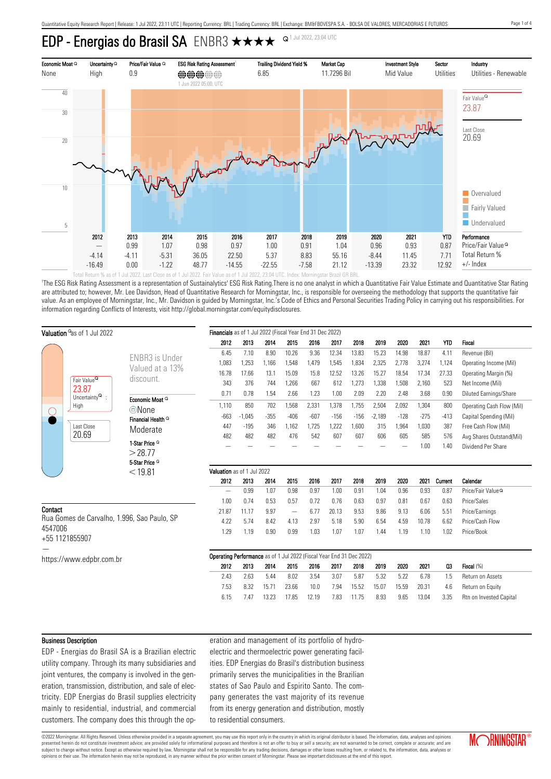# EDP - Energias do Brasil SA ENBR3  $\star \star \star \star$  <sup>Q 1 Jul 2022, 23:04 UTC</sup>



'The ESG Risk Rating Assessment is a representation of Sustainalytics' ESG Risk Rating.There is no one analyst in which a Quantitative Fair Value Estimate and Quantitative Star Rating are attributed to; however, Mr. Lee Davidson, Head of Quantitative Research for Morningstar, Inc., is responsible for overseeing the methodology that supports the quantitative fair value. As an employee of Morningstar, Inc., Mr. Davidson is guided by Morningstar, Inc.'s Code of Ethics and Personal Securities Trading Policy in carrying out his responsibilities. For information regarding Conflicts of Interests, visit http://global.morningstar.com/equitydisclosures.

|                                             |                                                                         |                                        |                                                                      |          |        |                          | Financials as of 1 Jul 2022 (Fiscal Year End 31 Dec 2022) |        |        |          |        |        |            |                               |
|---------------------------------------------|-------------------------------------------------------------------------|----------------------------------------|----------------------------------------------------------------------|----------|--------|--------------------------|-----------------------------------------------------------|--------|--------|----------|--------|--------|------------|-------------------------------|
|                                             |                                                                         |                                        | 2012                                                                 | 2013     | 2014   | 2015                     | 2016                                                      | 2017   | 2018   | 2019     | 2020   | 2021   | <b>YTD</b> | Fiscal                        |
|                                             |                                                                         | <b>ENBR3</b> is Under                  | 6.45                                                                 | 7.10     | 8.90   | 10.26                    | 9.36                                                      | 12.34  | 13.83  | 15.23    | 14.98  | 18.87  | 4.11       | Revenue (Bil)                 |
|                                             |                                                                         | Valued at a 13%                        | 1,083                                                                | 1,253    | 1,166  | 1,548                    | 1,479                                                     | 1,545  | 1,834  | 2,325    | 2,778  | 3,274  | 1,124      | Operating Income (Mil)        |
|                                             |                                                                         |                                        | 16.78                                                                | 17.66    | 13.1   | 15.09                    | 15.8                                                      | 12.52  | 13.26  | 15.27    | 18.54  | 17.34  | 27.33      | Operating Margin (%)          |
|                                             | Fair Value <sup>Q</sup>                                                 | discount.                              | 343                                                                  | 376      | 744    | 1,266                    | 667                                                       | 612    | 1,273  | 1,338    | 1,508  | 2,160  | 523        | Net Income (Mil)              |
|                                             | 23.87<br>Uncertainty $^{\mathsf{Q}}\,$ :<br>High<br>Last Close<br>20.69 |                                        | 0.71                                                                 | 0.78     | 1.54   | 2.66                     | 1.23                                                      | 1.00   | 2.09   | 2.20     | 2.48   | 3.68   | 0.90       | Diluted Earnings/Share        |
|                                             |                                                                         | Economic Moat Q                        | 1,110                                                                | 850      | 702    | 1,568                    | 2,331                                                     | 1,378  | 1,755  | 2,504    | 2,092  | 1,304  | 800        | Operating Cash Flow (Mil)     |
| $\left(\begin{array}{c} \end{array}\right)$ |                                                                         | ©None<br>Financial Health <sup>Q</sup> | $-663$                                                               | $-1,045$ | $-355$ | $-406$                   | $-607$                                                    | $-156$ | $-156$ | $-2,189$ | $-128$ | $-275$ | $-413$     | Capital Spending (Mil)        |
|                                             |                                                                         | Moderate                               | 447                                                                  | $-195$   | 346    | 1,162                    | 1,725                                                     | 1,222  | 1,600  | 315      | 1,964  | 1,030  | 387        | Free Cash Flow (Mil)          |
|                                             |                                                                         |                                        | 482                                                                  | 482      | 482    | 476                      | 542                                                       | 607    | 607    | 606      | 605    | 585    | 576        | Avg Shares Outstand(Mil)      |
|                                             |                                                                         | 1-Star Price <sup>Q</sup>              |                                                                      |          |        |                          |                                                           |        |        |          |        | 1.00   | 1.40       | Dividend Per Share            |
|                                             |                                                                         | >28.77                                 |                                                                      |          |        |                          |                                                           |        |        |          |        |        |            |                               |
|                                             |                                                                         | 5-Star Price <sup>Q</sup>              | Valuation as of 1 Jul 2022                                           |          |        |                          |                                                           |        |        |          |        |        |            |                               |
|                                             |                                                                         | $<$ 19.81                              | 2012                                                                 | 2013     | 2014   | 2015                     | 2016                                                      | 2017   | 2018   | 2019     | 2020   | 2021   |            |                               |
|                                             |                                                                         |                                        |                                                                      |          |        |                          |                                                           |        |        |          |        |        | Current    | Calendar                      |
|                                             |                                                                         |                                        |                                                                      | 0.99     | 1.07   | 0.98                     | 0.97                                                      | 1.00   | 0.91   | 1.04     | 0.96   | 0.93   | 0.87       | Price/Fair Value <sup>Q</sup> |
| Contact                                     |                                                                         |                                        | 1.00                                                                 | 0.74     | 0.53   | 0.57                     | 0.72                                                      | 0.76   | 0.63   | 0.97     | 0.81   | 0.67   | 0.63       | Price/Sales                   |
| Rua Gomes de Carvalho, 1.996, Sao Paulo, SP |                                                                         |                                        | 21.87                                                                | 11.17    | 9.97   | $\overline{\phantom{m}}$ | 6.77                                                      | 20.13  | 9.53   | 9.86     | 9.13   | 6.06   | 5.51       | Price/Earnings                |
| 4547006                                     |                                                                         |                                        | 4.22                                                                 | 5.74     | 8.42   | 4.13                     | 2.97                                                      | 5.18   | 5.90   | 6.54     | 4.59   | 10.78  | 6.62       | Price/Cash Flow               |
| +55 1121855907                              |                                                                         |                                        | 1.29                                                                 | 1.19     | 0.90   | 0.99                     | 1.03                                                      | 1.07   | 1.07   | 1.44     | 1.19   | 1.10   | 1.02       | Price/Book                    |
|                                             | https://www.edpbr.com.br                                                |                                        | Operating Performance as of 1 Jul 2022 (Fiscal Year End 31 Dec 2022) |          |        |                          |                                                           |        |        |          |        |        |            |                               |
|                                             |                                                                         |                                        | 2012                                                                 | 2013     | 2014   | 2015                     | 2016                                                      | 2017   | 2018   | 2019     | 2020   | 2021   | Q3         | Fiscal (%)                    |
|                                             |                                                                         |                                        | 2.43                                                                 | 2.63     | 5.44   | 8.02                     | 3.54                                                      | 3.07   | 5.87   | 5.32     | 5.22   | 6.78   | 1.5        | Return on Assets              |
|                                             |                                                                         |                                        | 7.53                                                                 | 8.32     | 15.71  | 23.66                    | 10.0                                                      | 7.94   | 15.52  | 15.07    | 15.59  | 20.31  | 4.6        | Return on Equity              |
|                                             |                                                                         |                                        | 6.15                                                                 | 7.47     | 13.23  | 17.85                    | 12.19                                                     | 7.83   | 11.75  | 8.93     | 9.65   | 13.04  | 3.35       | Rtn on Invested Capital       |

#### Business Description

EDP - Energias do Brasil SA is a Brazilian electric utility company. Through its many subsidiaries and joint ventures, the company is involved in the generation, transmission, distribution, and sale of electricity. EDP Energias do Brasil supplies electricity mainly to residential, industrial, and commercial customers. The company does this through the operation and management of its portfolio of hydroelectric and thermoelectric power generating facilities. EDP Energias do Brasil's distribution business primarily serves the municipalities in the Brazilian states of Sao Paulo and Espirito Santo. The company generates the vast majority of its revenue from its energy generation and distribution, mostly to residential consumers.

©2022 Morningstar. All Rights Reserved. Unless otherwise provided in a separate agreement, you may use this report only in the country in which its original distributor is based. The information, data, analyses and opinions presented herein do not constitute investment advice; are provided solely for informational purposes and therefore is not an offer to buy or sell a security; are not warranted to be correct, complete or accurate; and are subject to change without notice. Except as otherwise required by law, Morningstar shall not be responsible for any trading decisions, damages or other losses resulting from, or related to, the information, data, analyses opinions or their use. The information herein may not be reproduced, in any manner without the prior written consent of Morningstar. Please see important disclosures at the end of this report.

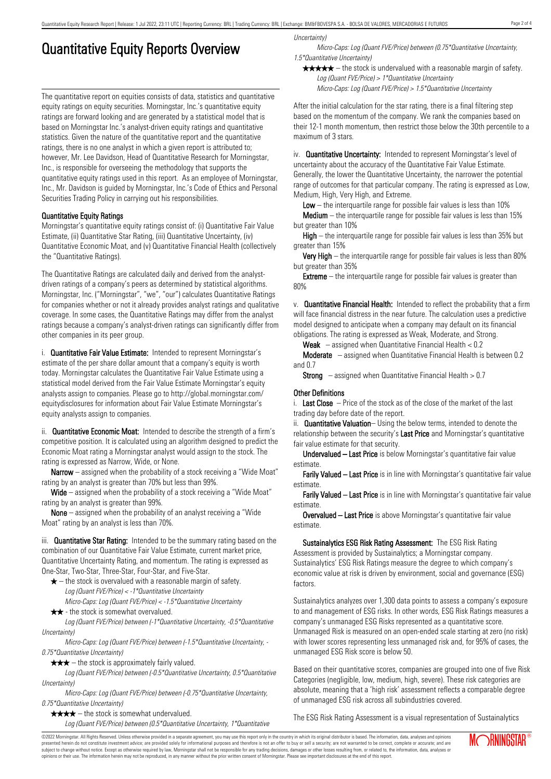# Quantitative Equity Reports Overview

The quantitative report on equities consists of data, statistics and quantitative equity ratings on equity securities. Morningstar, Inc.'s quantitative equity ratings are forward looking and are generated by a statistical model that is based on Morningstar Inc.'s analyst-driven equity ratings and quantitative statistics. Given the nature of the quantitative report and the quantitative ratings, there is no one analyst in which a given report is attributed to; however, Mr. Lee Davidson, Head of Quantitative Research for Morningstar, Inc., is responsible for overseeing the methodology that supports the quantitative equity ratings used in this report. As an employee of Morningstar, Inc., Mr. Davidson is guided by Morningstar, Inc.'s Code of Ethics and Personal Securities Trading Policy in carrying out his responsibilities.

### Quantitative Equity Ratings

Morningstar's quantitative equity ratings consist of: (i) Quantitative Fair Value Estimate, (ii) Quantitative Star Rating, (iii) Quantitative Uncertainty, (iv) Quantitative Economic Moat, and (v) Quantitative Financial Health (collectively the "Quantitative Ratings).

The Quantitative Ratings are calculated daily and derived from the analystdriven ratings of a company's peers as determined by statistical algorithms. Morningstar, Inc. ("Morningstar", "we", "our") calculates Quantitative Ratings for companies whether or not it already provides analyst ratings and qualitative coverage. In some cases, the Quantitative Ratings may differ from the analyst ratings because a company's analyst-driven ratings can significantly differ from other companies in its peer group.

i. **Quantitative Fair Value Estimate:** Intended to represent Morningstar's estimate of the per share dollar amount that a company's equity is worth today. Morningstar calculates the Quantitative Fair Value Estimate using a statistical model derived from the Fair Value Estimate Morningstar's equity analysts assign to companies. Please go to http://global.morningstar.com/ equitydisclosures for information about Fair Value Estimate Morningstar's equity analysts assign to companies.

ii. **Quantitative Economic Moat:** Intended to describe the strength of a firm's competitive position. It is calculated using an algorithm designed to predict the Economic Moat rating a Morningstar analyst would assign to the stock. The rating is expressed as Narrow, Wide, or None.

**Narrow** – assigned when the probability of a stock receiving a "Wide Moat" rating by an analyst is greater than 70% but less than 99%.

Wide – assigned when the probability of a stock receiving a "Wide Moat" rating by an analyst is greater than 99%.

None – assigned when the probability of an analyst receiving a "Wide Moat" rating by an analyst is less than 70%.

iii. **Quantitative Star Rating:** Intended to be the summary rating based on the combination of our Quantitative Fair Value Estimate, current market price, Quantitative Uncertainty Rating, and momentum. The rating is expressed as One-Star, Two-Star, Three-Star, Four-Star, and Five-Star.

- $\star$  the stock is overvalued with a reasonable margin of safety. Log (Quant FVE/Price) < -1\*Quantitative Uncertainty
- Micro-Caps: Log (Quant FVE/Price) < -1.5\*Quantitative Uncertainty  $\star \star$  - the stock is somewhat overvalued.

Log (Quant FVE/Price) between (-1\*Quantitative Uncertainty, -0.5\*Quantitative Uncertainty)

Micro-Caps: Log (Quant FVE/Price) between (-1.5\*Quantitative Uncertainty, - 0.75\*Quantitative Uncertainty)

 $\star \star \star$  – the stock is approximately fairly valued.

Log (Quant FVE/Price) between (-0.5\*Quantitative Uncertainty, 0.5\*Quantitative Uncertainty)

Micro-Caps: Log (Quant FVE/Price) between (-0.75\*Quantitative Uncertainty, 0.75\*Quantitative Uncertainty)

 $\star \star \star \star$  – the stock is somewhat undervalued.

Log (Quant FVE/Price) between (0.5\*Quantitative Uncertainty, 1\*Quantitative

Uncertainty)

Micro-Caps: Log (Quant FVE/Price) between (0.75\*Quantitative Uncertainty, 1.5\*Quantitative Uncertainty)

 $\star \star \star \star$  – the stock is undervalued with a reasonable margin of safety. Log (Quant FVE/Price) > 1\*Quantitative Uncertainty

Micro-Caps: Log (Quant FVE/Price) > 1.5\*Quantitative Uncertainty

After the initial calculation for the star rating, there is a final filtering step based on the momentum of the company. We rank the companies based on their 12-1 month momentum, then restrict those below the 30th percentile to a maximum of 3 stars.

iv. **Quantitative Uncertainty:** Intended to represent Morningstar's level of uncertainty about the accuracy of the Quantitative Fair Value Estimate. Generally, the lower the Quantitative Uncertainty, the narrower the potential range of outcomes for that particular company. The rating is expressed as Low, Medium, High, Very High, and Extreme.

**Low** – the interguartile range for possible fair values is less than  $10\%$ 

**Medium** – the interquartile range for possible fair values is less than  $15\%$ but greater than 10%

High – the interquartile range for possible fair values is less than 35% but greater than 15%

Very High – the interquartile range for possible fair values is less than 80% but greater than 35%

**Extreme** – the interquartile range for possible fair values is greater than 80%

v. Quantitative Financial Health: Intended to reflect the probability that a firm will face financial distress in the near future. The calculation uses a predictive model designed to anticipate when a company may default on its financial obligations. The rating is expressed as Weak, Moderate, and Strong.

**Weak**  $-$  assigned when Quantitative Financial Health  $< 0.2$ 

Moderate – assigned when Quantitative Financial Health is between 0.2 and 0.7

**Strong** – assigned when Quantitative Financial Health  $> 0.7$ 

#### Other Definitions

i. Last Close  $-$  Price of the stock as of the close of the market of the last trading day before date of the report.

ii. **Quantitative Valuation**– Using the below terms, intended to denote the relationship between the security's Last Price and Morningstar's quantitative fair value estimate for that security.

Undervalued – Last Price is below Morningstar's quantitative fair value estimate.

Farily Valued – Last Price is in line with Morningstar's quantitative fair value estimate.

Farily Valued – Last Price is in line with Morningstar's quantitative fair value estimate.

Overvalued – Last Price is above Morningstar's quantitative fair value estimate.

Sustainalytics ESG Risk Rating Assessment: The ESG Risk Rating Assessment is provided by Sustainalytics; a Morningstar company. Sustainalytics' ESG Risk Ratings measure the degree to which company's economic value at risk is driven by environment, social and governance (ESG) factors.

Sustainalytics analyzes over 1,300 data points to assess a company's exposure to and management of ESG risks. In other words, ESG Risk Ratings measures a company's unmanaged ESG Risks represented as a quantitative score. Unmanaged Risk is measured on an open-ended scale starting at zero (no risk) with lower scores representing less unmanaged risk and, for 95% of cases, the unmanaged ESG Risk score is below 50.

Based on their quantitative scores, companies are grouped into one of five Risk Categories (negligible, low, medium, high, severe). These risk categories are absolute, meaning that a 'high risk' assessment reflects a comparable degree of unmanaged ESG risk across all subindustries covered.

The ESG Risk Rating Assessment is a visual representation of Sustainalytics

©2022 Morningstar. All Rights Reserved. Unless otherwise provided in a separate agreement, you may use this report only in the country in which its original distributor is based. The information, data, analyses and opinions presented herein do not constitute investment advice; are provided solely for informational purposes and therefore is not an offer to buy or sell a security; are not warranted to be correct, complete or accurate; and are subject to change without notice. Except as otherwise required by law, Morningstar shall not be responsible for any trading decisions, damages or other losses resulting from, or related to, the information, data, analyses or opinions or their use. The information herein may not be reproduced, in any manner without the prior written consent of Morningstar. Please see important disclosures at the end of this report.

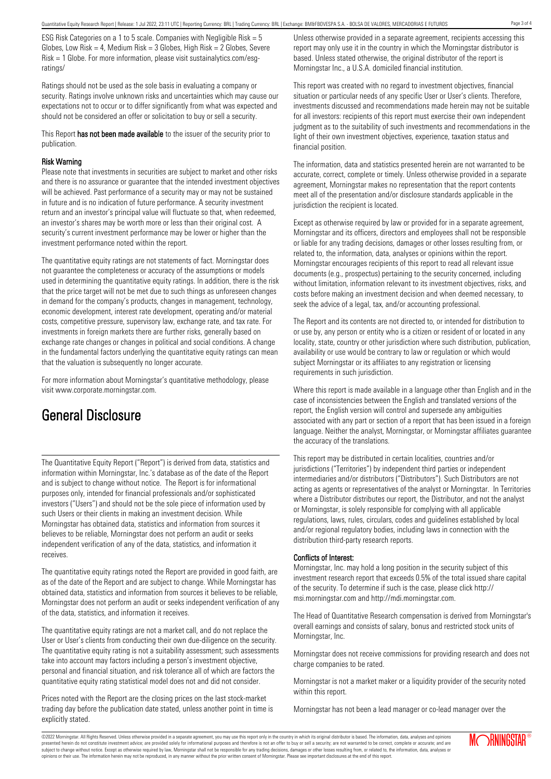ESG Risk Categories on a 1 to 5 scale. Companies with Negligible Risk = 5 Globes, Low Risk = 4, Medium Risk =  $3$  Globes, High Risk =  $2$  Globes, Severe Risk = 1 Globe. For more information, please visit sustainalytics.com/esgratings/

Ratings should not be used as the sole basis in evaluating a company or security. Ratings involve unknown risks and uncertainties which may cause our expectations not to occur or to differ significantly from what was expected and should not be considered an offer or solicitation to buy or sell a security.

This Report has not been made available to the issuer of the security prior to publication.

#### Risk Warning

Please note that investments in securities are subject to market and other risks and there is no assurance or guarantee that the intended investment objectives will be achieved. Past performance of a security may or may not be sustained in future and is no indication of future performance. A security investment return and an investor's principal value will fluctuate so that, when redeemed, an investor's shares may be worth more or less than their original cost. A security's current investment performance may be lower or higher than the investment performance noted within the report.

The quantitative equity ratings are not statements of fact. Morningstar does not guarantee the completeness or accuracy of the assumptions or models used in determining the quantitative equity ratings. In addition, there is the risk that the price target will not be met due to such things as unforeseen changes in demand for the company's products, changes in management, technology, economic development, interest rate development, operating and/or material costs, competitive pressure, supervisory law, exchange rate, and tax rate. For investments in foreign markets there are further risks, generally based on exchange rate changes or changes in political and social conditions. A change in the fundamental factors underlying the quantitative equity ratings can mean that the valuation is subsequently no longer accurate.

For more information about Morningstar's quantitative methodology, please visit www.corporate.morningstar.com.

## General Disclosure

The Quantitative Equity Report ("Report") is derived from data, statistics and information within Morningstar, Inc.'s database as of the date of the Report and is subject to change without notice. The Report is for informational purposes only, intended for financial professionals and/or sophisticated investors ("Users") and should not be the sole piece of information used by such Users or their clients in making an investment decision. While Morningstar has obtained data, statistics and information from sources it believes to be reliable, Morningstar does not perform an audit or seeks independent verification of any of the data, statistics, and information it receives.

The quantitative equity ratings noted the Report are provided in good faith, are as of the date of the Report and are subject to change. While Morningstar has obtained data, statistics and information from sources it believes to be reliable, Morningstar does not perform an audit or seeks independent verification of any of the data, statistics, and information it receives.

The quantitative equity ratings are not a market call, and do not replace the User or User's clients from conducting their own due-diligence on the security. The quantitative equity rating is not a suitability assessment; such assessments take into account may factors including a person's investment objective, personal and financial situation, and risk tolerance all of which are factors the quantitative equity rating statistical model does not and did not consider.

Prices noted with the Report are the closing prices on the last stock-market trading day before the publication date stated, unless another point in time is explicitly stated.

Unless otherwise provided in a separate agreement, recipients accessing this report may only use it in the country in which the Morningstar distributor is based. Unless stated otherwise, the original distributor of the report is Morningstar Inc., a U.S.A. domiciled financial institution.

This report was created with no regard to investment objectives, financial situation or particular needs of any specific User or User's clients. Therefore, investments discussed and recommendations made herein may not be suitable for all investors: recipients of this report must exercise their own independent judgment as to the suitability of such investments and recommendations in the light of their own investment objectives, experience, taxation status and financial position.

The information, data and statistics presented herein are not warranted to be accurate, correct, complete or timely. Unless otherwise provided in a separate agreement, Morningstar makes no representation that the report contents meet all of the presentation and/or disclosure standards applicable in the jurisdiction the recipient is located.

Except as otherwise required by law or provided for in a separate agreement, Morningstar and its officers, directors and employees shall not be responsible or liable for any trading decisions, damages or other losses resulting from, or related to, the information, data, analyses or opinions within the report. Morningstar encourages recipients of this report to read all relevant issue documents (e.g., prospectus) pertaining to the security concerned, including without limitation, information relevant to its investment objectives, risks, and costs before making an investment decision and when deemed necessary, to seek the advice of a legal, tax, and/or accounting professional.

The Report and its contents are not directed to, or intended for distribution to or use by, any person or entity who is a citizen or resident of or located in any locality, state, country or other jurisdiction where such distribution, publication, availability or use would be contrary to law or regulation or which would subject Morningstar or its affiliates to any registration or licensing requirements in such jurisdiction.

Where this report is made available in a language other than English and in the case of inconsistencies between the English and translated versions of the report, the English version will control and supersede any ambiguities associated with any part or section of a report that has been issued in a foreign language. Neither the analyst, Morningstar, or Morningstar affiliates guarantee the accuracy of the translations.

This report may be distributed in certain localities, countries and/or jurisdictions ("Territories") by independent third parties or independent intermediaries and/or distributors ("Distributors"). Such Distributors are not acting as agents or representatives of the analyst or Morningstar. In Territories where a Distributor distributes our report, the Distributor, and not the analyst or Morningstar, is solely responsible for complying with all applicable regulations, laws, rules, circulars, codes and guidelines established by local and/or regional regulatory bodies, including laws in connection with the distribution third-party research reports.

### Conflicts of Interest:

Morningstar, Inc. may hold a long position in the security subject of this investment research report that exceeds 0.5% of the total issued share capital of the security. To determine if such is the case, please click http:// msi.morningstar.com and http://mdi.morningstar.com.

The Head of Quantitative Research compensation is derived from Morningstar's overall earnings and consists of salary, bonus and restricted stock units of Morningstar, Inc.

Morningstar does not receive commissions for providing research and does not charge companies to be rated.

Morningstar is not a market maker or a liquidity provider of the security noted within this report.

Morningstar has not been a lead manager or co-lead manager over the

©2022 Morningstar. All Rights Reserved. Unless otherwise provided in a separate agreement, you may use this report only in the country in which its original distributor is based. The information, data, analyses and opinions presented herein do not constitute investment advice; are provided solely for informational purposes and therefore is not an offer to buy or sell a security; are not warranted to be correct, complete or accurate; and are subject to change without notice. Except as otherwise required by law, Morningstar shall not be responsible for any trading decisions, damages or other losses resulting from, or related to, the information, data, analyses or opinions or their use. The information herein may not be reproduced, in any manner without the prior written consent of Morningstar. Please see important disclosures at the end of this report.